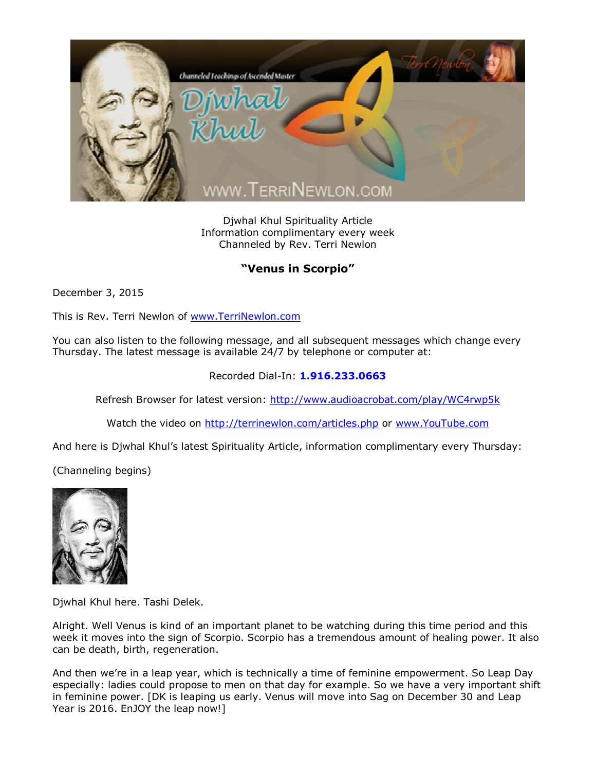

Djwhal Khul Spirituality Article Information complimentary every week Channeled by Rev. Terri Newlon

## **"Venus in Scorpio"**

December 3, 2015

This is Rev. Terri Newlon of [www.TerriNewlon.com](http://www.terrinewlon.com/)

You can also listen to the following message, and all subsequent messages which change every Thursday. The latest message is available 24/7 by telephone or computer at:

## Recorded Dial-In: **1.916.233.0663**

Refresh Browser for latest version: <http://www.audioacrobat.com/play/WC4rwp5k>

Watch the video on <http://terrinewlon.com/articles.php> or [www.YouTube.com](http://www.youtube.com/)

And here is Djwhal Khul's latest Spirituality Article, information complimentary every Thursday:

(Channeling begins)



Djwhal Khul here. Tashi Delek.

Alright. Well Venus is kind of an important planet to be watching during this time period and this week it moves into the sign of Scorpio. Scorpio has a tremendous amount of healing power. It also can be death, birth, regeneration.

And then we're in a leap year, which is technically a time of feminine empowerment. So Leap Day especially: ladies could propose to men on that day for example. So we have a very important shift in feminine power. [DK is leaping us early. Venus will move into Sag on December 30 and Leap Year is 2016. EnJOY the leap now!]